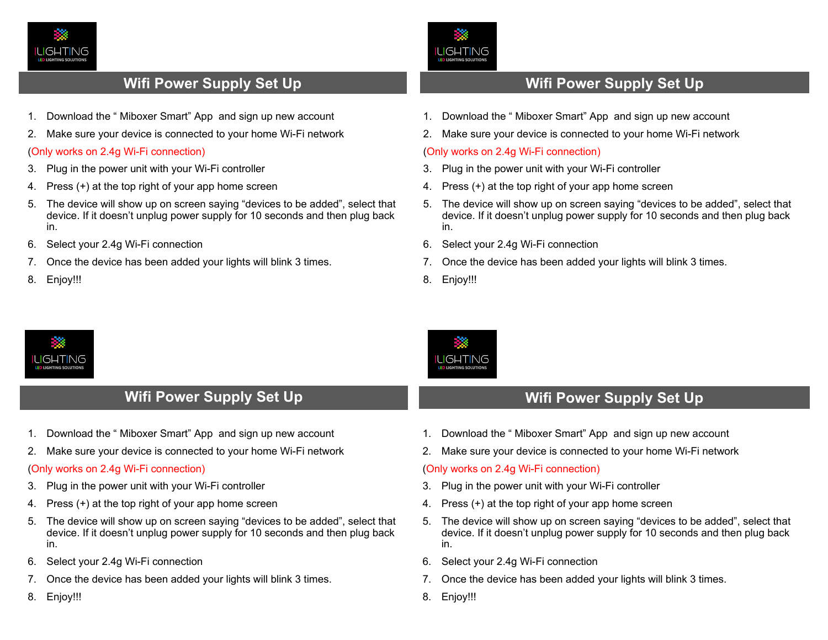

## **Wifi Power Supply Set Up**

- 1. Download the " Miboxer Smart" App and sign up new account
- 2. Make sure your device is connected to your home Wi-Fi network

### (Only works on 2.4g Wi-Fi connection)

- 3. Plug in the power unit with your Wi-Fi controller
- 4. Press (+) at the top right of your app home screen
- 5. The device will show up on screen saying "devices to be added", select that device. If it doesn't unplug power supply for 10 seconds and then plug back in.
- 6. Select your 2.4g Wi-Fi connection
- 7. Once the device has been added your lights will blink 3 times.
- 8. Enjoy!!!



- 1. Download the " Miboxer Smart" App and sign up new account
- 2. Make sure your device is connected to your home Wi-Fi network

## (Only works on 2.4g Wi-Fi connection)

- 3. Plug in the power unit with your Wi-Fi controller
- 4. Press (+) at the top right of your app home screen
- 5. The device will show up on screen saying "devices to be added", select that device. If it doesn't unplug power supply for 10 seconds and then plug back in.
- 6. Select your 2.4g Wi-Fi connection
- 7. Once the device has been added your lights will blink 3 times.
- 8. Enjoy!!!

LIGHTING

**IGHTING** 



# **Wifi Power Supply Set Up Wifi Power Supply Set Up**

- 1. Download the " Miboxer Smart" App and sign up new account
- 2. Make sure your device is connected to your home Wi-Fi network

## (Only works on 2.4g Wi-Fi connection)

- 3. Plug in the power unit with your Wi-Fi controller
- 4. Press (+) at the top right of your app home screen
- 5. The device will show up on screen saying "devices to be added", select that device. If it doesn't unplug power supply for 10 seconds and then plug back in.
- 6. Select your 2.4g Wi-Fi connection
- 7. Once the device has been added your lights will blink 3 times.
- 8. Enjoy!!!
- 1. Download the " Miboxer Smart" App and sign up new account
- 2. Make sure your device is connected to your home Wi-Fi network

## (Only works on 2.4g Wi-Fi connection)

- 3. Plug in the power unit with your Wi-Fi controller
- 4. Press (+) at the top right of your app home screen
- 5. The device will show up on screen saying "devices to be added", select that device. If it doesn't unplug power supply for 10 seconds and then plug back in.
- 6. Select your 2.4g Wi-Fi connection
- 7. Once the device has been added your lights will blink 3 times.
- 8. Enjoy!!!